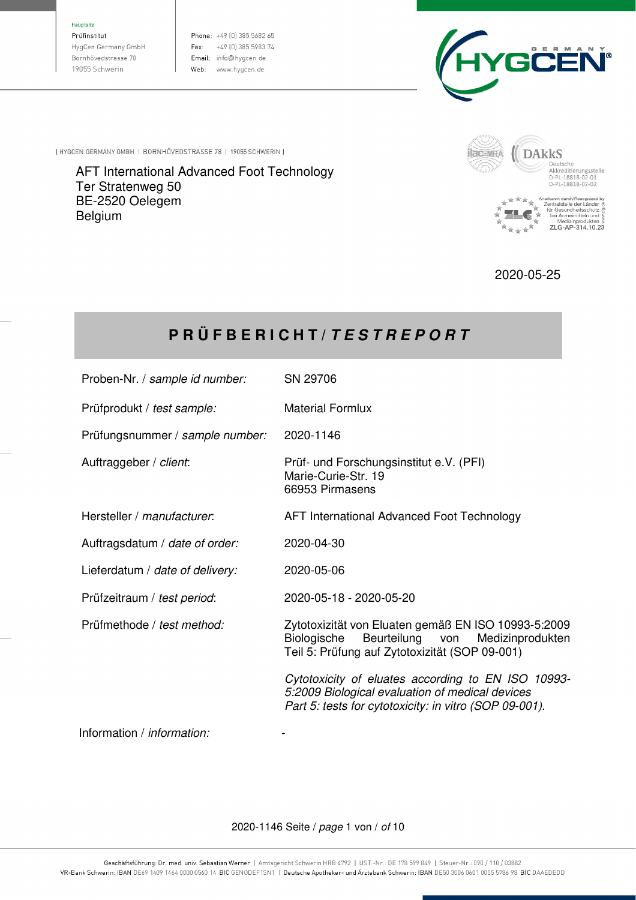#### **Hauptsitz**

Prüfinstitut HygCen Germany GmbH Bornhövedstrasse 78 19055 Schwerin

Phone: +49 (0) 385 5682 65 Fax: +49 [0] 385 5983 74 Email: info@hygcen.de Web: www.hygcen.de



[HYGCEN GERMANY GMBH | BORNHÖVEDSTRASSE 78 | 19055 SCHWERIN ]

AFT International Advanced Foot Technology Ter Stratenweg 50 BE-2520 Oelegem Belgium



2020-05-25

# **P R Ü F B E R I C H T /** *T E S T R E P O R T*

| Proben-Nr. / sample id number:  | SN 29706                                                                                                                                                        |
|---------------------------------|-----------------------------------------------------------------------------------------------------------------------------------------------------------------|
| Prüfprodukt / test sample:      | <b>Material Formlux</b>                                                                                                                                         |
| Prüfungsnummer / sample number: | 2020-1146                                                                                                                                                       |
| Auftraggeber / client:          | Prüf- und Forschungsinstitut e.V. (PFI)<br>Marie-Curie-Str. 19<br>66953 Pirmasens                                                                               |
| Hersteller / manufacturer.      | AFT International Advanced Foot Technology                                                                                                                      |
| Auftragsdatum / date of order:  | 2020-04-30                                                                                                                                                      |
| Lieferdatum / date of delivery: | 2020-05-06                                                                                                                                                      |
| Prüfzeitraum / test period:     | 2020-05-18 - 2020-05-20                                                                                                                                         |
| Prüfmethode / test method:      | Zytotoxizität von Eluaten gemäß EN ISO 10993-5:2009<br>Biologische<br>Beurteilung von<br>Medizinprodukten<br>Teil 5: Prüfung auf Zytotoxizität (SOP 09-001)     |
|                                 | Cytotoxicity of eluates according to EN ISO 10993-<br>5:2009 Biological evaluation of medical devices<br>Part 5: tests for cytotoxicity: in vitro (SOP 09-001). |
|                                 |                                                                                                                                                                 |

Information / information:

2020-1146 Seite / page 1 von / of 10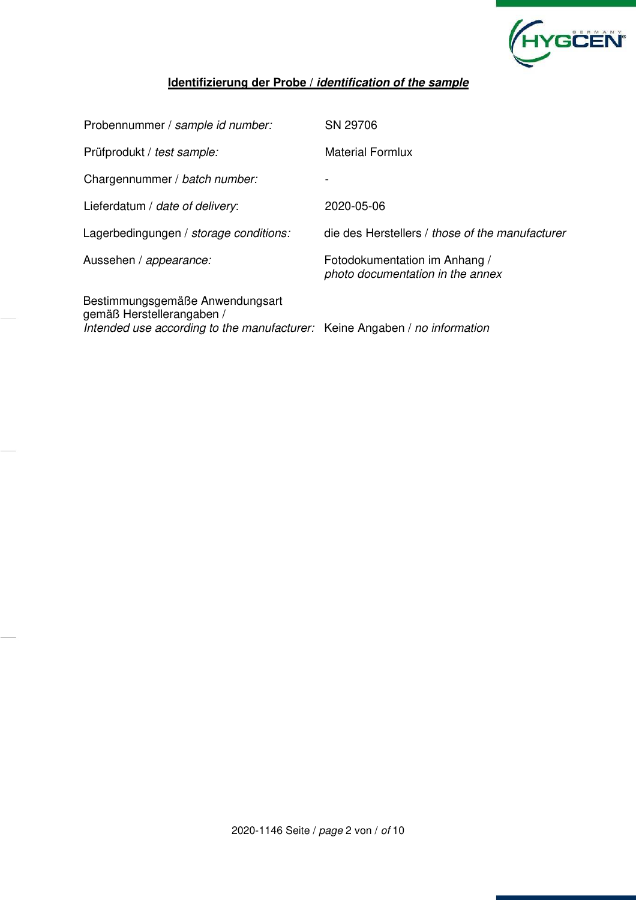

#### **Identifizierung der Probe /** *identification of the sample*

| Probennummer / sample id number:                                                                                                           | SN 29706                                                          |
|--------------------------------------------------------------------------------------------------------------------------------------------|-------------------------------------------------------------------|
| Prüfprodukt / test sample:                                                                                                                 | <b>Material Formlux</b>                                           |
| Chargennummer / batch number:                                                                                                              |                                                                   |
| Lieferdatum / date of delivery:                                                                                                            | 2020-05-06                                                        |
| Lagerbedingungen / storage conditions:                                                                                                     | die des Herstellers / those of the manufacturer                   |
| Aussehen / appearance:                                                                                                                     | Fotodokumentation im Anhang /<br>photo documentation in the annex |
| Bestimmungsgemäße Anwendungsart<br>gemäß Herstellerangaben /<br>Intended use according to the manufacturer: Keine Angaben / no information |                                                                   |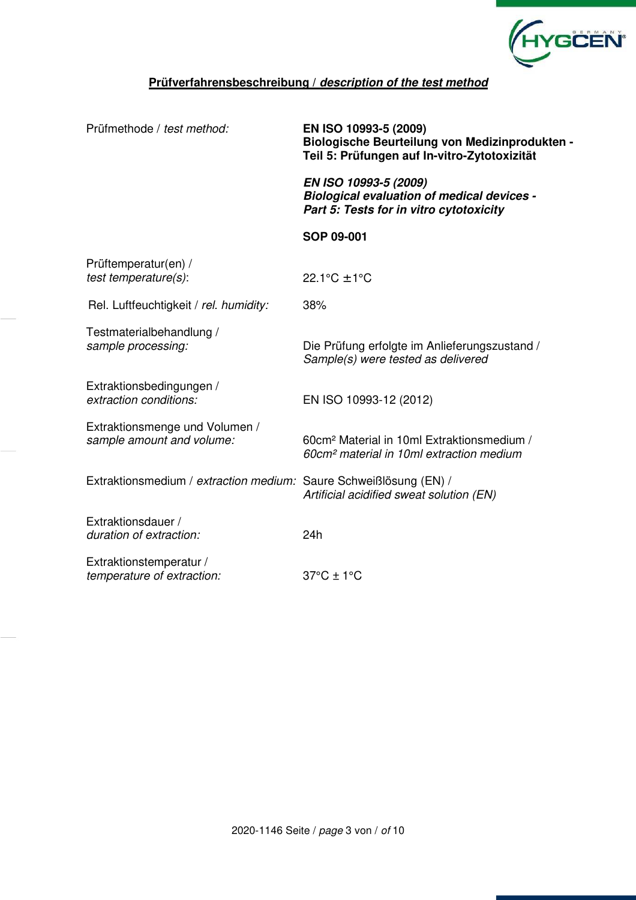

### **Prüfverfahrensbeschreibung /** *description of the test method*

| Prüfmethode / test method:                                        | EN ISO 10993-5 (2009)<br>Biologische Beurteilung von Medizinprodukten -<br>Teil 5: Prüfungen auf In-vitro-Zytotoxizität |  |  |  |
|-------------------------------------------------------------------|-------------------------------------------------------------------------------------------------------------------------|--|--|--|
|                                                                   | EN ISO 10993-5 (2009)<br><b>Biological evaluation of medical devices -</b><br>Part 5: Tests for in vitro cytotoxicity   |  |  |  |
|                                                                   | SOP 09-001                                                                                                              |  |  |  |
| Prüftemperatur(en) /<br>test temperature(s):                      | 22.1°C $\pm$ 1°C                                                                                                        |  |  |  |
| Rel. Luftfeuchtigkeit / rel. humidity:                            | 38%                                                                                                                     |  |  |  |
| Testmaterialbehandlung /<br>sample processing:                    | Die Prüfung erfolgte im Anlieferungszustand /<br>Sample(s) were tested as delivered                                     |  |  |  |
| Extraktionsbedingungen /<br>extraction conditions:                | EN ISO 10993-12 (2012)                                                                                                  |  |  |  |
| Extraktionsmenge und Volumen /<br>sample amount and volume:       | 60cm <sup>2</sup> Material in 10ml Extraktionsmedium /<br>60cm <sup>2</sup> material in 10ml extraction medium          |  |  |  |
| Extraktionsmedium / extraction medium: Saure Schweißlösung (EN) / | Artificial acidified sweat solution (EN)                                                                                |  |  |  |
| Extraktionsdauer /<br>duration of extraction:                     | 24h                                                                                                                     |  |  |  |
| Extraktionstemperatur /<br>temperature of extraction:             | $37^{\circ}$ C ± 1 $^{\circ}$ C                                                                                         |  |  |  |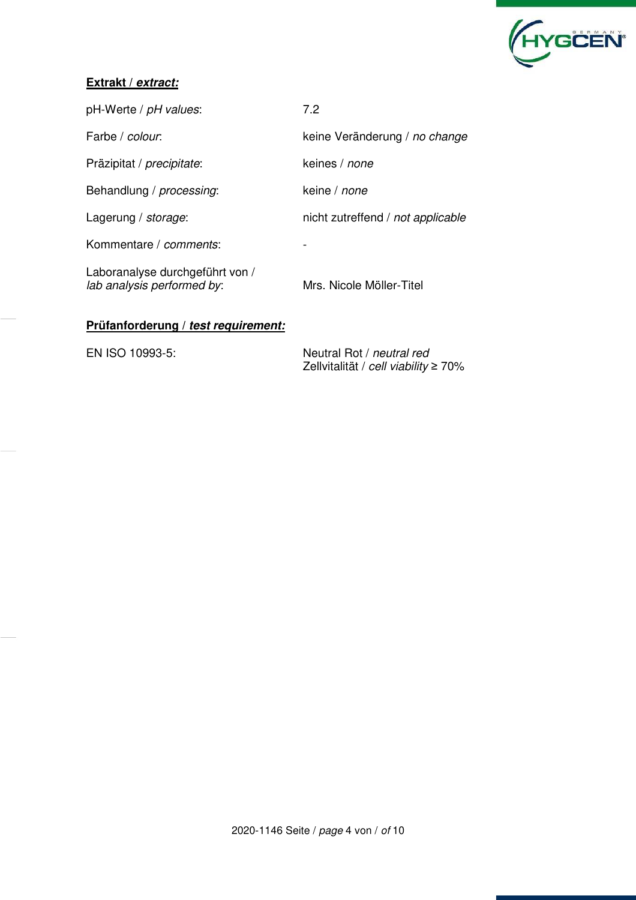

#### **Extrakt /** *extract:*

| pH-Werte / pH values:                                         | 7.2                               |
|---------------------------------------------------------------|-----------------------------------|
| Farbe / colour.                                               | keine Veränderung / no change     |
| Präzipitat / <i>precipitate</i> :                             | keines / <i>none</i>              |
| Behandlung / processing:                                      | keine / <i>none</i>               |
| Lagerung / storage:                                           | nicht zutreffend / not applicable |
| Kommentare / comments:                                        |                                   |
| Laboranalyse durchgeführt von /<br>lab analysis performed by: | Mrs. Nicole Möller-Titel          |

### **Prüfanforderung /** *test requirement:*

EN ISO 10993-5: Neutral Rot / neutral red Zellvitalität / cell viability ≥ 70%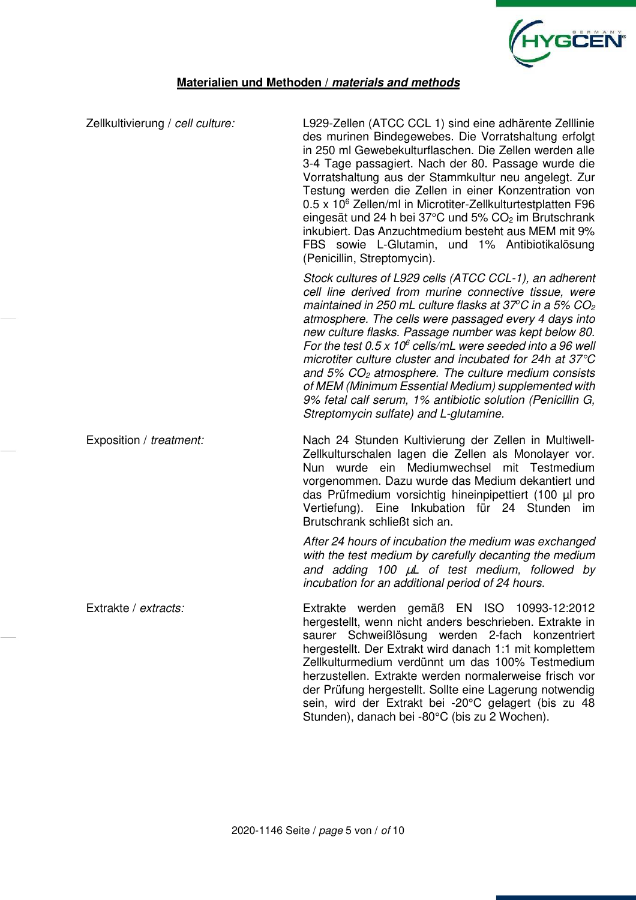

#### **Materialien und Methoden /** *materials and methods*

| Zellkultivierung / cell culture: | L929-Zellen (ATCC CCL 1) sind eine adhärente Zelllinie<br>des murinen Bindegewebes. Die Vorratshaltung erfolgt<br>in 250 ml Gewebekulturflaschen. Die Zellen werden alle<br>3-4 Tage passagiert. Nach der 80. Passage wurde die<br>Vorratshaltung aus der Stammkultur neu angelegt. Zur<br>Testung werden die Zellen in einer Konzentration von<br>0.5 x 10 <sup>6</sup> Zellen/ml in Microtiter-Zellkulturtestplatten F96<br>eingesät und 24 h bei 37°C und 5% CO <sub>2</sub> im Brutschrank<br>inkubiert. Das Anzuchtmedium besteht aus MEM mit 9%<br>FBS sowie L-Glutamin, und 1% Antibiotikalösung<br>(Penicillin, Streptomycin).                                              |
|----------------------------------|-------------------------------------------------------------------------------------------------------------------------------------------------------------------------------------------------------------------------------------------------------------------------------------------------------------------------------------------------------------------------------------------------------------------------------------------------------------------------------------------------------------------------------------------------------------------------------------------------------------------------------------------------------------------------------------|
|                                  | Stock cultures of L929 cells (ATCC CCL-1), an adherent<br>cell line derived from murine connective tissue, were<br>maintained in 250 mL culture flasks at 37°C in a 5% CO <sub>2</sub><br>atmosphere. The cells were passaged every 4 days into<br>new culture flasks. Passage number was kept below 80.<br>For the test 0.5 x 10 $\textdegree$ cells/mL were seeded into a 96 well<br>microtiter culture cluster and incubated for 24h at 37°C<br>and $5\%$ CO <sub>2</sub> atmosphere. The culture medium consists<br>of MEM (Minimum Essential Medium) supplemented with<br>9% fetal calf serum, 1% antibiotic solution (Penicillin G,<br>Streptomycin sulfate) and L-glutamine. |
| Exposition / treatment:          | Nach 24 Stunden Kultivierung der Zellen in Multiwell-<br>Zellkulturschalen lagen die Zellen als Monolayer vor.<br>Nun wurde ein Mediumwechsel mit Testmedium<br>vorgenommen. Dazu wurde das Medium dekantiert und<br>das Prüfmedium vorsichtig hineinpipettiert (100 μl pro<br>Vertiefung). Eine Inkubation für 24 Stunden im<br>Brutschrank schließt sich an.                                                                                                                                                                                                                                                                                                                      |
|                                  | After 24 hours of incubation the medium was exchanged<br>with the test medium by carefully decanting the medium<br>and adding 100 µL of test medium, followed by<br>incubation for an additional period of 24 hours.                                                                                                                                                                                                                                                                                                                                                                                                                                                                |
| Extrakte / extracts:             | Extrakte werden gemäß EN ISO 10993-12:2012<br>hergestellt, wenn nicht anders beschrieben. Extrakte in<br>saurer Schweißlösung werden 2-fach konzentriert<br>hergestellt. Der Extrakt wird danach 1:1 mit komplettem<br>Zellkulturmedium verdünnt um das 100% Testmedium<br>herzustellen. Extrakte werden normalerweise frisch vor<br>der Prüfung hergestellt. Sollte eine Lagerung notwendig<br>sein, wird der Extrakt bei -20°C gelagert (bis zu 48                                                                                                                                                                                                                                |

Stunden), danach bei -80°C (bis zu 2 Wochen).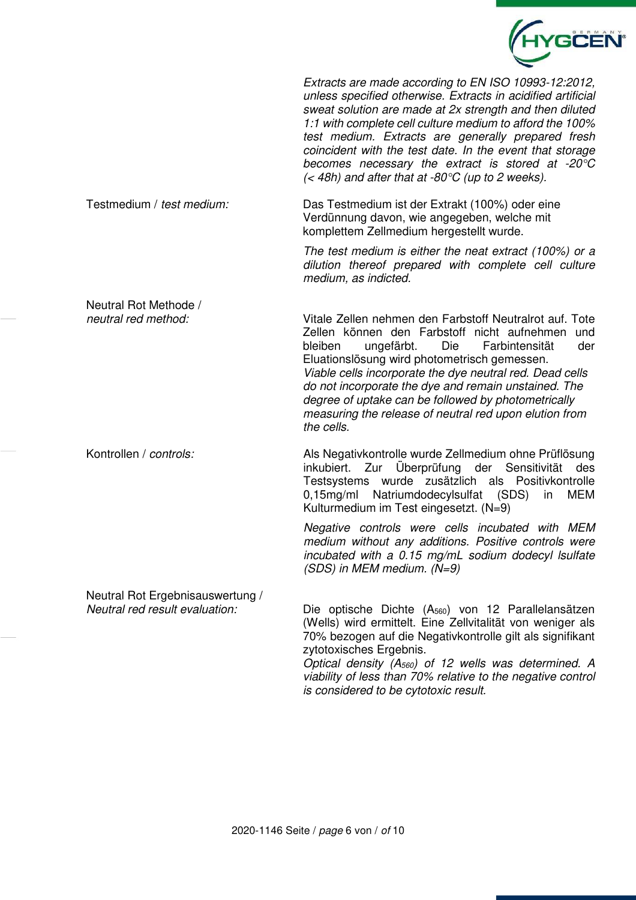

Extracts are made according to EN ISO 10993-12:2012, unless specified otherwise. Extracts in acidified artificial sweat solution are made at 2x strength and then diluted 1:1 with complete cell culture medium to afford the 100% test medium. Extracts are generally prepared fresh coincident with the test date. In the event that storage becomes necessary the extract is stored at -20°C  $\zeta$  48h) and after that at -80 $\degree$ C (up to 2 weeks).

#### Testmedium / test medium: Das Testmedium ist der Extrakt (100%) oder eine Verdünnung davon, wie angegeben, welche mit komplettem Zellmedium hergestellt wurde.

The test medium is either the neat extract (100%) or a dilution thereof prepared with complete cell culture medium, as indicted.

Neutral Rot Methode / neutral red method: Vitale Zellen nehmen den Farbstoff Neutralrot auf. Tote Zellen können den Farbstoff nicht aufnehmen und bleiben ungefärbt. Die Farbintensität der Eluationslösung wird photometrisch gemessen. Viable cells incorporate the dye neutral red. Dead cells do not incorporate the dye and remain unstained. The degree of uptake can be followed by photometrically measuring the release of neutral red upon elution from the cells.

Kontrollen / controls: Als Negativkontrolle wurde Zellmedium ohne Prüflösung inkubiert. Zur Überprüfung der Sensitivität des Testsystems wurde zusätzlich als Positivkontrolle 0,15mg/ml Natriumdodecylsulfat (SDS) in MEM Kulturmedium im Test eingesetzt. (N=9)

> Negative controls were cells incubated with MEM medium without any additions. Positive controls were incubated with a 0.15 mg/mL sodium dodecyl lsulfate (SDS) in MEM medium. (N=9)

Neutral Rot Ergebnisauswertung /

Neutral red result evaluation: Die optische Dichte  $(A_{560})$  von 12 Parallelansätzen (Wells) wird ermittelt. Eine Zellvitalität von weniger als 70% bezogen auf die Negativkontrolle gilt als signifikant zytotoxisches Ergebnis.

Optical density  $(A_{560})$  of 12 wells was determined. A viability of less than 70% relative to the negative control is considered to be cytotoxic result.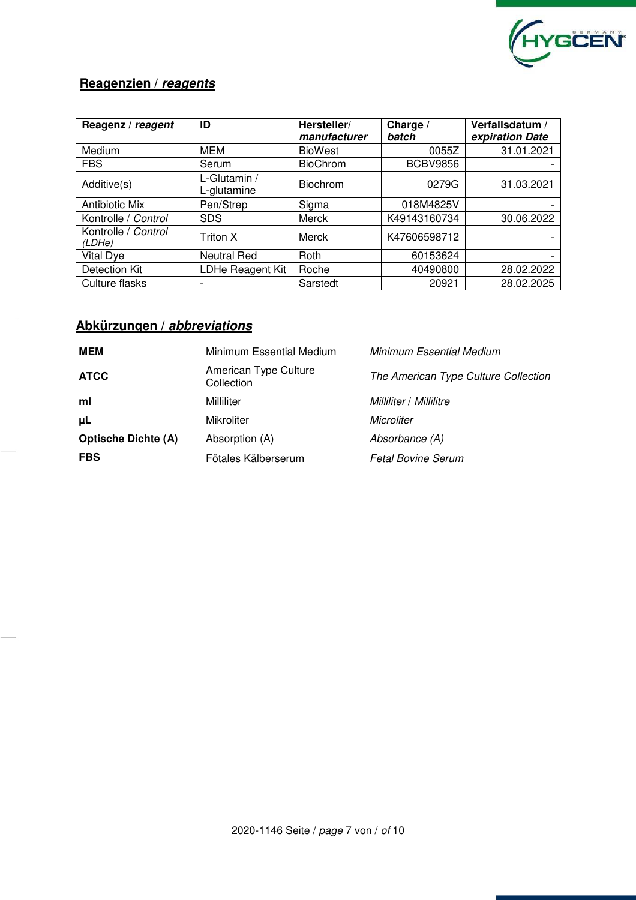

## **Reagenzien /** *reagents*

| Reagenz / reagent             | ID                          | Hersteller/<br>manufacturer | Charge /<br>batch | Verfallsdatum /<br>expiration Date |  |
|-------------------------------|-----------------------------|-----------------------------|-------------------|------------------------------------|--|
| Medium                        | MEM                         | <b>BioWest</b>              | 0055Z             | 31.01.2021                         |  |
| <b>FBS</b>                    | Serum                       | <b>BioChrom</b>             | <b>BCBV9856</b>   |                                    |  |
| Additive(s)                   | L-Glutamin /<br>L-glutamine | <b>Biochrom</b>             | 0279G             | 31.03.2021                         |  |
| <b>Antibiotic Mix</b>         | Pen/Strep                   | Sigma                       | 018M4825V         |                                    |  |
| Kontrolle / Control           | <b>SDS</b>                  | Merck                       | K49143160734      | 30.06.2022                         |  |
| Kontrolle / Control<br>(LDHe) | Triton X                    | Merck                       | K47606598712      |                                    |  |
| Vital Dye                     | <b>Neutral Red</b>          | Roth                        | 60153624          |                                    |  |
| <b>Detection Kit</b>          | LDHe Reagent Kit            | Roche                       | 40490800          | 28.02.2022                         |  |
| Culture flasks                | $\overline{\phantom{0}}$    | Sarstedt                    | 20921             | 28.02.2025                         |  |

# **Abkürzungen /** *abbreviations*

| MEM                        | Minimum Essential Medium            | <b>Minimum Essential Medium</b>      |  |  |
|----------------------------|-------------------------------------|--------------------------------------|--|--|
| <b>ATCC</b>                | American Type Culture<br>Collection | The American Type Culture Collection |  |  |
| ml                         | Milliliter                          | Milliliter / Millilitre              |  |  |
| μL                         | <b>Mikroliter</b>                   | Microliter                           |  |  |
| <b>Optische Dichte (A)</b> | Absorption (A)                      | Absorbance (A)                       |  |  |
| <b>FBS</b>                 | Fötales Kälberserum                 | <b>Fetal Bovine Serum</b>            |  |  |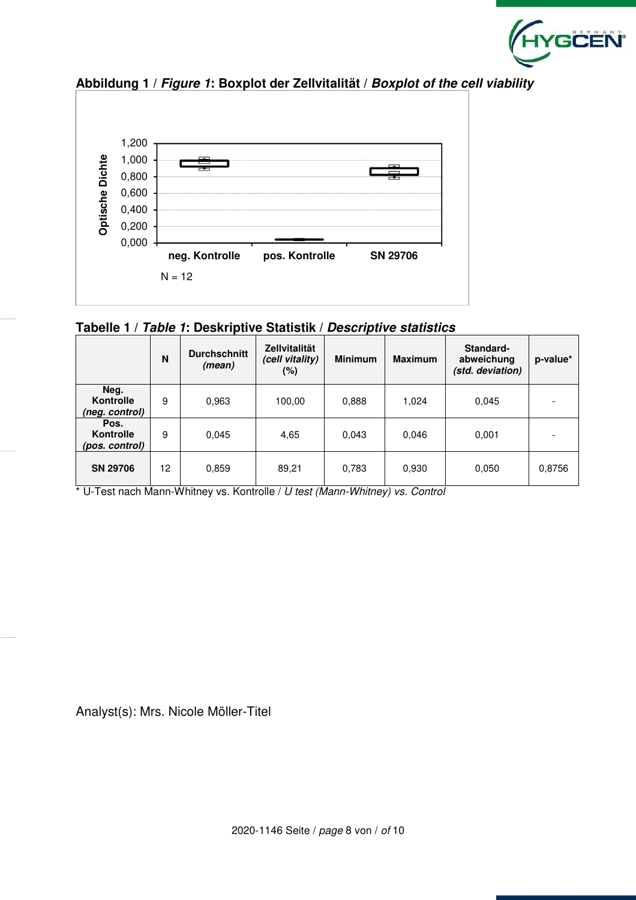



**Abbildung 1 /** *Figure 1***: Boxplot der Zellvitalität /** *Boxplot of the cell viability*

|  |  |  | Tabelle 1 / Table 1: Deskriptive Statistik / Descriptive statistics |
|--|--|--|---------------------------------------------------------------------|
|--|--|--|---------------------------------------------------------------------|

|                                     | N  | <b>Durchschnitt</b><br>(mean) | <b>Zellvitalität</b><br>(cell vitality)<br>$(\%)$ | <b>Minimum</b> | <b>Maximum</b> | Standard-<br>abweichung<br>(std. deviation) | p-value* |
|-------------------------------------|----|-------------------------------|---------------------------------------------------|----------------|----------------|---------------------------------------------|----------|
| Neg.<br>Kontrolle<br>(neg. control) | 9  | 0.963                         | 100,00                                            | 0,888          | 1,024          | 0.045                                       |          |
| Pos.<br>Kontrolle<br>(pos. control) | 9  | 0,045                         | 4,65                                              | 0.043          | 0.046          | 0,001                                       |          |
| <b>SN 29706</b>                     | 12 | 0,859                         | 89,21                                             | 0,783          | 0.930          | 0.050                                       | 0,8756   |

\* U-Test nach Mann-Whitney vs. Kontrolle / U test (Mann-Whitney) vs. Control

Analyst(s): Mrs. Nicole Möller-Titel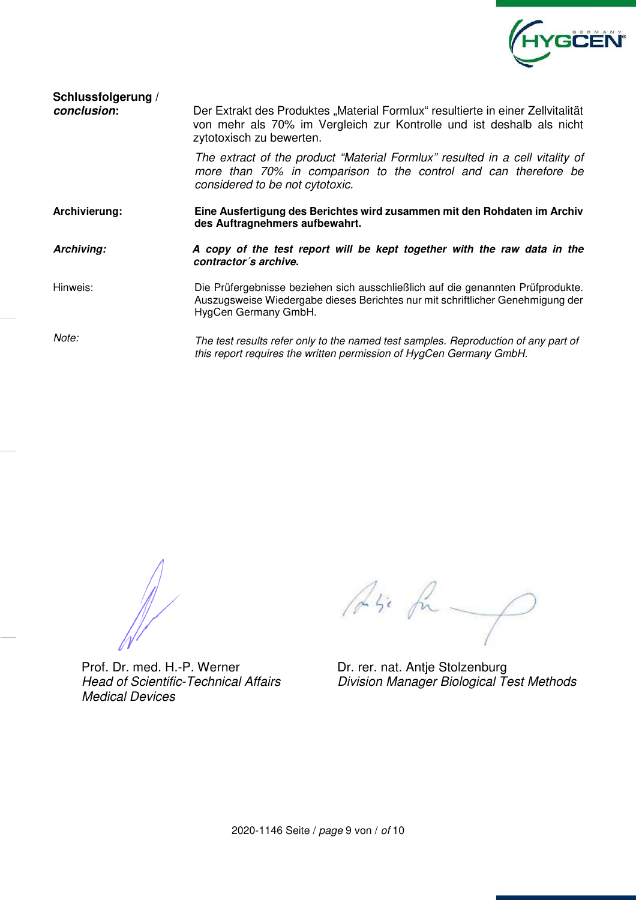

| Schlussfolgerung / |  |
|--------------------|--|
| conclusion:        |  |

Der Extrakt des Produktes "Material Formlux" resultierte in einer Zellvitalität von mehr als 70% im Vergleich zur Kontrolle und ist deshalb als nicht zytotoxisch zu bewerten. The extract of the product "Material Formlux" resulted in a cell vitality of more than 70% in comparison to the control and can therefore be considered to be not cytotoxic. **Archivierung: Eine Ausfertigung des Berichtes wird zusammen mit den Rohdaten im Archiv des Auftragnehmers aufbewahrt.**  *Archiving: A copy of the test report will be kept together with the raw data in the contractor´s archive.*  Hinweis: Die Prüfergebnisse beziehen sich ausschließlich auf die genannten Prüfprodukte. Auszugsweise Wiedergabe dieses Berichtes nur mit schriftlicher Genehmigung der HygCen Germany GmbH. Note: The test results refer only to the named test samples. Reproduction of any part of this report requires the written permission of HygCen Germany GmbH.

Prof. Dr. med. H.-P. Werner Dr. rer. nat. Antje Stolzenburg Head of Scientific-Technical Affairs Medical Devices

Lisi fu

Division Manager Biological Test Methods